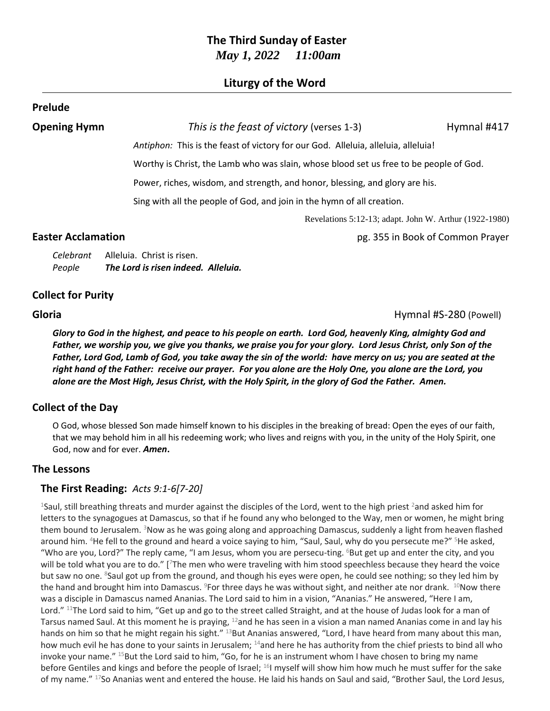## **The Third Sunday of Easter** *May 1, 2022 11:00am*

## **Liturgy of the Word**

#### **Prelude**

**Opening Hymn** *This is the feast of victory* (verses 1-3) Hymnal #417

*Antiphon:* This is the feast of victory for our God. Alleluia, alleluia, alleluia!

Worthy is Christ, the Lamb who was slain, whose blood set us free to be people of God.

Power, riches, wisdom, and strength, and honor, blessing, and glory are his.

Sing with all the people of God, and join in the hymn of all creation.

Revelations 5:12-13; adapt. John W. Arthur (1922-1980)

**Easter Acclamation Easter Acclamation pg. 355 in Book of Common Prayer** 

| Celebrant | Alleluia. Christ is risen.          |
|-----------|-------------------------------------|
| People    | The Lord is risen indeed. Alleluia. |

### **Collect for Purity**

**Gloria Hymnal #S-280** (Powell)

*Glory to God in the highest, and peace to his people on earth. Lord God, heavenly King, almighty God and Father, we worship you, we give you thanks, we praise you for your glory. Lord Jesus Christ, only Son of the Father, Lord God, Lamb of God, you take away the sin of the world: have mercy on us; you are seated at the right hand of the Father: receive our prayer. For you alone are the Holy One, you alone are the Lord, you alone are the Most High, Jesus Christ, with the Holy Spirit, in the glory of God the Father. Amen.*

## **Collect of the Day**

O God, whose blessed Son made himself known to his disciples in the breaking of bread: Open the eyes of our faith, that we may behold him in all his redeeming work; who lives and reigns with you, in the unity of the Holy Spirit, one God, now and for ever. *Amen***.**

#### **The Lessons**

## **The First Reading:** *Acts 9:1-6[7-20]*

<sup>1</sup>Saul, still breathing threats and murder against the disciples of the Lord, went to the high priest <sup>2</sup> and asked him for letters to the synagogues at Damascus, so that if he found any who belonged to the Way, men or women, he might bring them bound to Jerusalem. <sup>3</sup>Now as he was going along and approaching Damascus, suddenly a light from heaven flashed around him. <sup>4</sup>He fell to the ground and heard a voice saying to him, "Saul, Saul, why do you persecute me?" <sup>5</sup>He asked, "Who are you, Lord?" The reply came, "I am Jesus, whom you are persecu-ting. <sup>6</sup>But get up and enter the city, and you will be told what you are to do." [7The men who were traveling with him stood speechless because they heard the voice but saw no one. <sup>8</sup>Saul got up from the ground, and though his eyes were open, he could see nothing; so they led him by the hand and brought him into Damascus. <sup>9</sup>For three days he was without sight, and neither ate nor drank. <sup>10</sup>Now there was a disciple in Damascus named Ananias. The Lord said to him in a vision, "Ananias." He answered, "Here I am, Lord." <sup>11</sup>The Lord said to him, "Get up and go to the street called Straight, and at the house of Judas look for a man of Tarsus named Saul. At this moment he is praying,  $^{12}$ and he has seen in a vision a man named Ananias come in and lay his hands on him so that he might regain his sight." <sup>13</sup>But Ananias answered, "Lord, I have heard from many about this man, how much evil he has done to your saints in Jerusalem; <sup>14</sup>and here he has authority from the chief priests to bind all who invoke your name." <sup>15</sup>But the Lord said to him, "Go, for he is an instrument whom I have chosen to bring my name before Gentiles and kings and before the people of Israel; <sup>16</sup>I myself will show him how much he must suffer for the sake of my name." <sup>17</sup>So Ananias went and entered the house. He laid his hands on Saul and said, "Brother Saul, the Lord Jesus,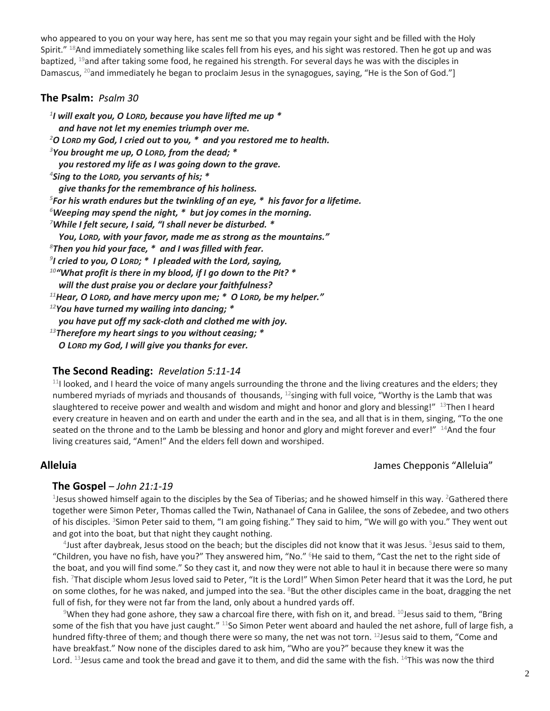who appeared to you on your way here, has sent me so that you may regain your sight and be filled with the Holy Spirit." <sup>18</sup>And immediately something like scales fell from his eyes, and his sight was restored. Then he got up and was baptized, <sup>19</sup>and after taking some food, he regained his strength. For several days he was with the disciples in Damascus, <sup>20</sup>and immediately he began to proclaim Jesus in the synagogues, saying, "He is the Son of God."]

#### **The Psalm:** *Psalm 30*

 *I will exalt you, O LORD, because you have lifted me up \* and have not let my enemies triumph over me. O LORD my God, I cried out to you, \* and you restored me to health. You brought me up, O LORD, from the dead; \* you restored my life as I was going down to the grave. Sing to the LORD, you servants of his; \* give thanks for the remembrance of his holiness. For his wrath endures but the twinkling of an eye, \* his favor for a lifetime. Weeping may spend the night, \* but joy comes in the morning. While I felt secure, I said, "I shall never be disturbed. \* You, LORD, with your favor, made me as strong as the mountains." Then you hid your face, \* and I was filled with fear. I cried to you, O LORD; \* I pleaded with the Lord, saying, "What profit is there in my blood, if I go down to the Pit? \* will the dust praise you or declare your faithfulness? Hear, O LORD, and have mercy upon me; \* O LORD, be my helper." You have turned my wailing into dancing; \* you have put off my sack-cloth and clothed me with joy. Therefore my heart sings to you without ceasing; \* O LORD my God, I will give you thanks for ever.*

#### **The Second Reading:** *Revelation 5:11-14*

 $11$ I looked, and I heard the voice of many angels surrounding the throne and the living creatures and the elders; they numbered myriads of myriads and thousands of thousands,  $^{12}$ singing with full voice, "Worthy is the Lamb that was slaughtered to receive power and wealth and wisdom and might and honor and glory and blessing!" <sup>13</sup>Then I heard every creature in heaven and on earth and under the earth and in the sea, and all that is in them, singing, "To the one seated on the throne and to the Lamb be blessing and honor and glory and might forever and ever!"  $14$ And the four living creatures said, "Amen!" And the elders fell down and worshiped.

### **Alleluia** James Chepponis "Alleluia"

#### **The Gospel** – *John 21:1-19*

<sup>1</sup>Jesus showed himself again to the disciples by the Sea of Tiberias; and he showed himself in this way. <sup>2</sup>Gathered there together were Simon Peter, Thomas called the Twin, Nathanael of Cana in Galilee, the sons of Zebedee, and two others of his disciples. <sup>3</sup>Simon Peter said to them, "I am going fishing." They said to him, "We will go with you." They went out and got into the boat, but that night they caught nothing.

4 Just after daybreak, Jesus stood on the beach; but the disciples did not know that it was Jesus. <sup>5</sup> Jesus said to them, "Children, you have no fish, have you?" They answered him, "No." <sup>6</sup>He said to them, "Cast the net to the right side of the boat, and you will find some." So they cast it, and now they were not able to haul it in because there were so many fish. <sup>7</sup>That disciple whom Jesus loved said to Peter, "It is the Lord!" When Simon Peter heard that it was the Lord, he put on some clothes, for he was naked, and jumped into the sea. <sup>8</sup>But the other disciples came in the boat, dragging the net full of fish, for they were not far from the land, only about a hundred yards off.

<sup>9</sup>When they had gone ashore, they saw a charcoal fire there, with fish on it, and bread. <sup>10</sup>Jesus said to them, "Bring some of the fish that you have just caught." <sup>11</sup>So Simon Peter went aboard and hauled the net ashore, full of large fish, a hundred fifty-three of them; and though there were so many, the net was not torn. <sup>12</sup>Jesus said to them, "Come and have breakfast." Now none of the disciples dared to ask him, "Who are you?" because they knew it was the Lord. 13 Jesus came and took the bread and gave it to them, and did the same with the fish. 14This was now the third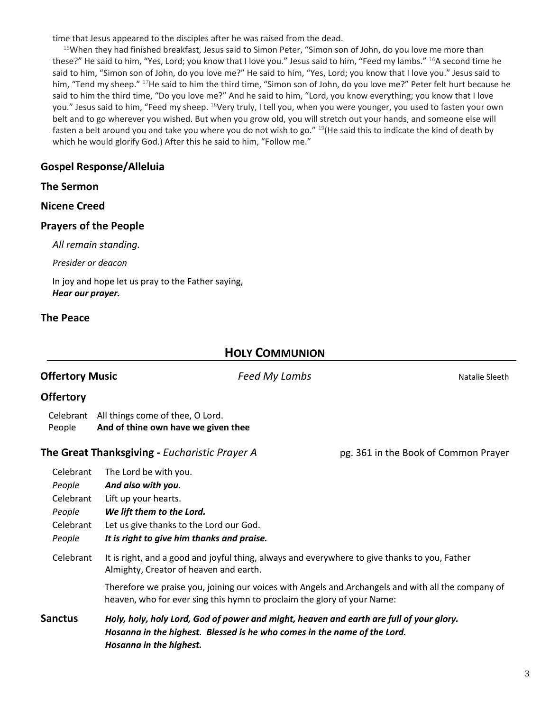time that Jesus appeared to the disciples after he was raised from the dead.

 $15$ When they had finished breakfast, Jesus said to Simon Peter, "Simon son of John, do you love me more than these?" He said to him, "Yes, Lord; you know that I love you." Jesus said to him, "Feed my lambs." <sup>16</sup>A second time he said to him, "Simon son of John, do you love me?" He said to him, "Yes, Lord; you know that I love you." Jesus said to him, "Tend my sheep." <sup>17</sup>He said to him the third time, "Simon son of John, do you love me?" Peter felt hurt because he said to him the third time, "Do you love me?" And he said to him, "Lord, you know everything; you know that I love you." Jesus said to him, "Feed my sheep. <sup>18</sup>Very truly, I tell you, when you were younger, you used to fasten your own belt and to go wherever you wished. But when you grow old, you will stretch out your hands, and someone else will fasten a belt around you and take you where you do not wish to go." <sup>19</sup>(He said this to indicate the kind of death by which he would glorify God.) After this he said to him, "Follow me."

## **Gospel Response/Alleluia**

#### **The Sermon**

#### **Nicene Creed**

#### **Prayers of the People**

*All remain standing.*

*Presider or deacon*

In joy and hope let us pray to the Father saying, *Hear our prayer.*

### **The Peace**

## **HOLY COMMUNION**

| <b>Offertory Music</b>                                            |                                                                                                                                                                                                                                               | Feed My Lambs | Natalie Sleeth                       |
|-------------------------------------------------------------------|-----------------------------------------------------------------------------------------------------------------------------------------------------------------------------------------------------------------------------------------------|---------------|--------------------------------------|
| <b>Offertory</b>                                                  |                                                                                                                                                                                                                                               |               |                                      |
| Celebrant<br>People                                               | All things come of thee, O Lord.<br>And of thine own have we given thee                                                                                                                                                                       |               |                                      |
|                                                                   | The Great Thanksgiving - Eucharistic Prayer A                                                                                                                                                                                                 |               | pg. 361 in the Book of Common Prayer |
| Celebrant<br>People<br>Celebrant<br>People<br>Celebrant<br>People | The Lord be with you.<br>And also with you.<br>Lift up your hearts.<br>We lift them to the Lord.<br>Let us give thanks to the Lord our God.<br>It is right to give him thanks and praise.                                                     |               |                                      |
| Celebrant                                                         | It is right, and a good and joyful thing, always and everywhere to give thanks to you, Father<br>Almighty, Creator of heaven and earth.<br>Therefore we praise you, joining our voices with Angels and Archangels and with all the company of |               |                                      |
|                                                                   | heaven, who for ever sing this hymn to proclaim the glory of your Name:                                                                                                                                                                       |               |                                      |
| <b>Sanctus</b>                                                    | Holy, holy, holy Lord, God of power and might, heaven and earth are full of your glory.<br>Hosanna in the highest. Blessed is he who comes in the name of the Lord.<br>Hosanna in the highest.                                                |               |                                      |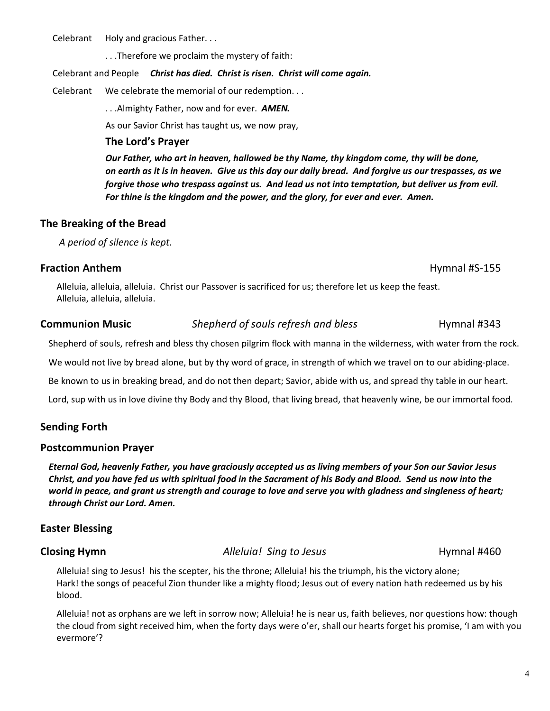Celebrant Holy and gracious Father...

. . .Therefore we proclaim the mystery of faith:

#### Celebrant and People *Christ has died. Christ is risen. Christ will come again.*

Celebrant We celebrate the memorial of our redemption. . .

. . .Almighty Father, now and for ever. *AMEN.*

As our Savior Christ has taught us, we now pray,

### **The Lord's Prayer**

*Our Father, who art in heaven, hallowed be thy Name, thy kingdom come, thy will be done, on earth as it is in heaven. Give us this day our daily bread. And forgive us our trespasses, as we forgive those who trespass against us. And lead us not into temptation, but deliver us from evil. For thine is the kingdom and the power, and the glory, for ever and ever. Amen.*

## **The Breaking of the Bread**

*A period of silence is kept.*

## **Fraction Anthem Hymnal #S-155**

## Alleluia, alleluia, alleluia. Christ our Passover is sacrificed for us; therefore let us keep the feast. Alleluia, alleluia, alleluia.

# **Communion Music** *Shepherd of souls refresh and bless* **Hymnal #343**

Shepherd of souls, refresh and bless thy chosen pilgrim flock with manna in the wilderness, with water from the rock.

We would not live by bread alone, but by thy word of grace, in strength of which we travel on to our abiding-place.

Be known to us in breaking bread, and do not then depart; Savior, abide with us, and spread thy table in our heart.

Lord, sup with us in love divine thy Body and thy Blood, that living bread, that heavenly wine, be our immortal food.

## **Sending Forth**

## **Postcommunion Prayer**

*Eternal God, heavenly Father, you have graciously accepted us as living members of your Son our Savior Jesus Christ, and you have fed us with spiritual food in the Sacrament of his Body and Blood. Send us now into the world in peace, and grant us strength and courage to love and serve you with gladness and singleness of heart; through Christ our Lord. Amen.*

## **Easter Blessing**

**Closing Hymn** *Alleluia! Sing to Jesus* **<b>Hymnal #460** 

Alleluia! sing to Jesus! his the scepter, his the throne; Alleluia! his the triumph, his the victory alone; Hark! the songs of peaceful Zion thunder like a mighty flood; Jesus out of every nation hath redeemed us by his blood.

Alleluia! not as orphans are we left in sorrow now; Alleluia! he is near us, faith believes, nor questions how: though the cloud from sight received him, when the forty days were o'er, shall our hearts forget his promise, 'I am with you evermore'?